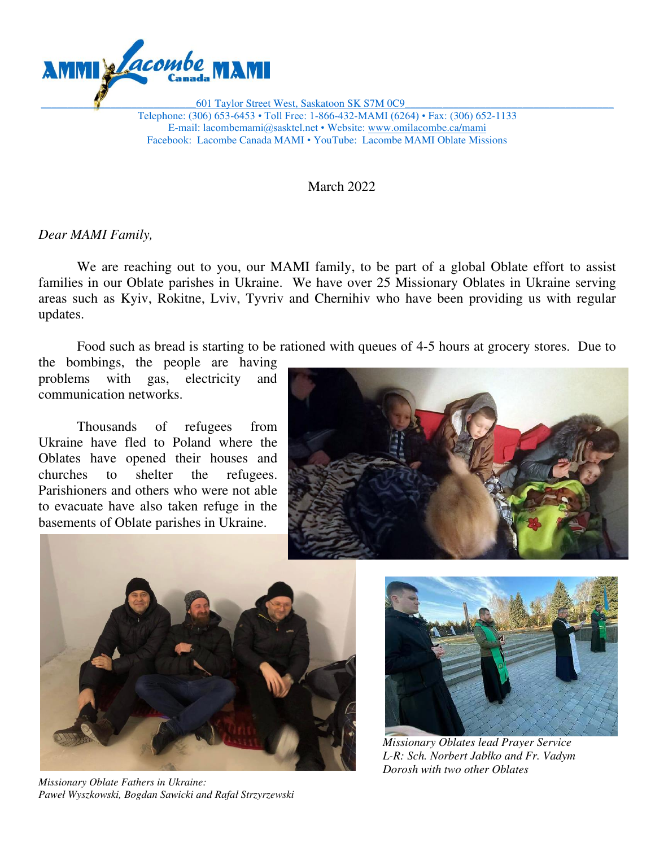

601 Taylor Street West, Saskatoon SK S7M 0C9

Telephone: (306) 653-6453 • Toll Free: 1-866-432-MAMI (6264) • Fax: (306) 652-1133 E-mail: lacombemami@sasktel.net • Website: [www.omilacombe.ca/mami](http://www.oblatemissionassociates.ca/)  Facebook: Lacombe Canada MAMI • YouTube: Lacombe MAMI Oblate Missions

March 2022

*Dear MAMI Family,*

We are reaching out to you, our MAMI family, to be part of a global Oblate effort to assist families in our Oblate parishes in Ukraine. We have over 25 Missionary Oblates in Ukraine serving areas such as Kyiv, Rokitne, Lviv, Tyvriv and Chernihiv who have been providing us with regular updates.

Food such as bread is starting to be rationed with queues of 4-5 hours at grocery stores. Due to

the bombings, the people are having problems with gas, electricity and communication networks.

Thousands of refugees from Ukraine have fled to Poland where the Oblates have opened their houses and churches to shelter the refugees. Parishioners and others who were not able to evacuate have also taken refuge in the basements of Oblate parishes in Ukraine.





*Missionary Oblate Fathers in Ukraine: Paweł Wyszkowski, Bogdan Sawicki and Rafał Strzyrzewski* 



 *Missionary Oblates lead Prayer Service L-R: Sch. Norbert Jabłko and Fr. Vadym Dorosh with two other Oblates*